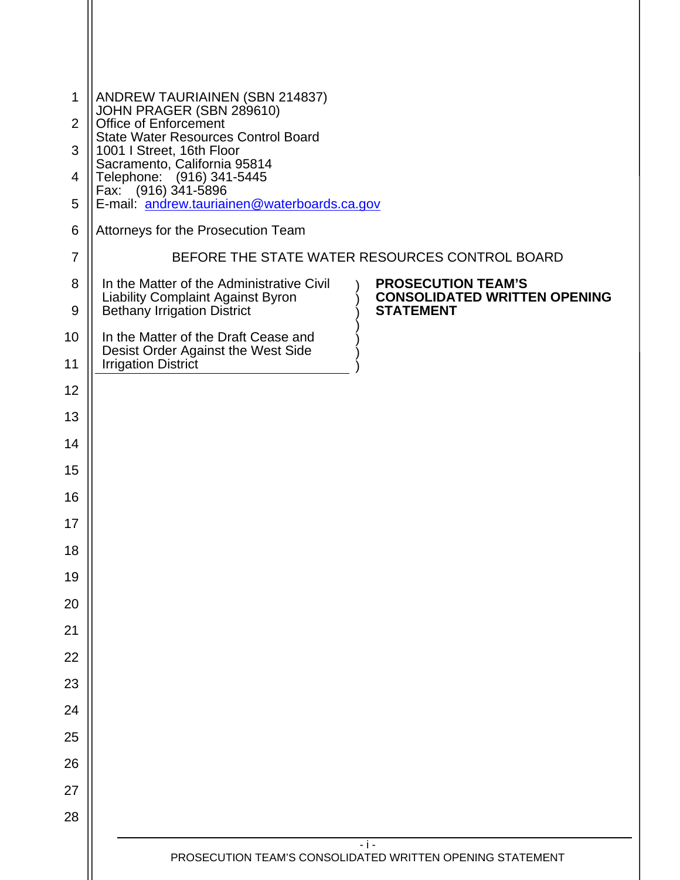| $\mathbf{1}$   | ANDREW TAURIAINEN (SBN 214837)<br>JOHN PRAGER (SBN 289610)<br>Office of Enforcement                                                                                                                   |  |  |  |
|----------------|-------------------------------------------------------------------------------------------------------------------------------------------------------------------------------------------------------|--|--|--|
| 2              | <b>State Water Resources Control Board</b><br>1001   Street, 16th Floor<br>Sacramento, California 95814<br>Telephone: (916) 341-5445<br>Fax: (916) 341-5896                                           |  |  |  |
| 3              |                                                                                                                                                                                                       |  |  |  |
| $\overline{4}$ |                                                                                                                                                                                                       |  |  |  |
| 5              | E-mail: andrew.tauriainen@waterboards.ca.gov                                                                                                                                                          |  |  |  |
| 6              | Attorneys for the Prosecution Team                                                                                                                                                                    |  |  |  |
| $\overline{7}$ | BEFORE THE STATE WATER RESOURCES CONTROL BOARD                                                                                                                                                        |  |  |  |
| 8<br>9         | <b>PROSECUTION TEAM'S</b><br>In the Matter of the Administrative Civil<br><b>CONSOLIDATED WRITTEN OPENING</b><br>Liability Complaint Against Byron<br>Bethany Irrigation District<br><b>STATEMENT</b> |  |  |  |
| 10             | In the Matter of the Draft Cease and                                                                                                                                                                  |  |  |  |
| 11             | Desist Order Against the West Side<br><b>Irrigation District</b>                                                                                                                                      |  |  |  |
| 12             |                                                                                                                                                                                                       |  |  |  |
| 13             |                                                                                                                                                                                                       |  |  |  |
| 14             |                                                                                                                                                                                                       |  |  |  |
| 15             |                                                                                                                                                                                                       |  |  |  |
| 16             |                                                                                                                                                                                                       |  |  |  |
| 17             |                                                                                                                                                                                                       |  |  |  |
| 18             |                                                                                                                                                                                                       |  |  |  |
| 19             |                                                                                                                                                                                                       |  |  |  |
| 20             |                                                                                                                                                                                                       |  |  |  |
| 21             |                                                                                                                                                                                                       |  |  |  |
| 22             |                                                                                                                                                                                                       |  |  |  |
| 23             |                                                                                                                                                                                                       |  |  |  |
| 24             |                                                                                                                                                                                                       |  |  |  |
| 25             |                                                                                                                                                                                                       |  |  |  |
| 26             |                                                                                                                                                                                                       |  |  |  |
| 27             |                                                                                                                                                                                                       |  |  |  |
| 28             |                                                                                                                                                                                                       |  |  |  |
|                | $-1-$                                                                                                                                                                                                 |  |  |  |
|                | PROSECUTION TEAM'S CONSOLIDATED WRITTEN OPENING STATEMENT                                                                                                                                             |  |  |  |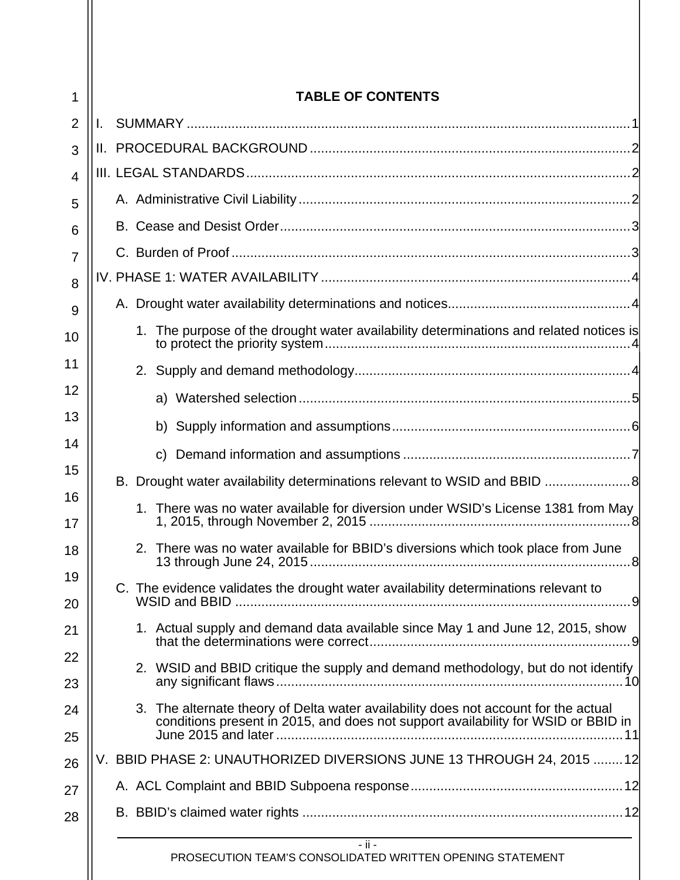| 1              | <b>TABLE OF CONTENTS</b>                                                                                                                                                 |  |  |  |
|----------------|--------------------------------------------------------------------------------------------------------------------------------------------------------------------------|--|--|--|
| $\overline{2}$ |                                                                                                                                                                          |  |  |  |
| 3              |                                                                                                                                                                          |  |  |  |
| $\overline{4}$ |                                                                                                                                                                          |  |  |  |
| 5              |                                                                                                                                                                          |  |  |  |
| 6              |                                                                                                                                                                          |  |  |  |
| $\overline{7}$ |                                                                                                                                                                          |  |  |  |
| 8              |                                                                                                                                                                          |  |  |  |
| 9              |                                                                                                                                                                          |  |  |  |
| 10             | 1. The purpose of the drought water availability determinations and related notices is                                                                                   |  |  |  |
| 11             |                                                                                                                                                                          |  |  |  |
| 12             |                                                                                                                                                                          |  |  |  |
| 13             |                                                                                                                                                                          |  |  |  |
| 14             |                                                                                                                                                                          |  |  |  |
| 15             | B. Drought water availability determinations relevant to WSID and BBID 8                                                                                                 |  |  |  |
| 16<br>17       | 1. There was no water available for diversion under WSID's License 1381 from May                                                                                         |  |  |  |
| 18             | 2. There was no water available for BBID's diversions which took place from June                                                                                         |  |  |  |
| 19<br>20       | C. The evidence validates the drought water availability determinations relevant to                                                                                      |  |  |  |
| 21             | 1. Actual supply and demand data available since May 1 and June 12, 2015, show                                                                                           |  |  |  |
| 22<br>23       | 2. WSID and BBID critique the supply and demand methodology, but do not identify                                                                                         |  |  |  |
| 24<br>25       | 3. The alternate theory of Delta water availability does not account for the actual<br>conditions present in 2015, and does not support availability for WSID or BBID in |  |  |  |
| 26             | V. BBID PHASE 2: UNAUTHORIZED DIVERSIONS JUNE 13 THROUGH 24, 2015  12                                                                                                    |  |  |  |
| 27             |                                                                                                                                                                          |  |  |  |
| 28             |                                                                                                                                                                          |  |  |  |
|                | $-$ ii $-$<br>PROSECUTION TEAM'S CONSOLIDATED WRITTEN OPENING STATEMENT                                                                                                  |  |  |  |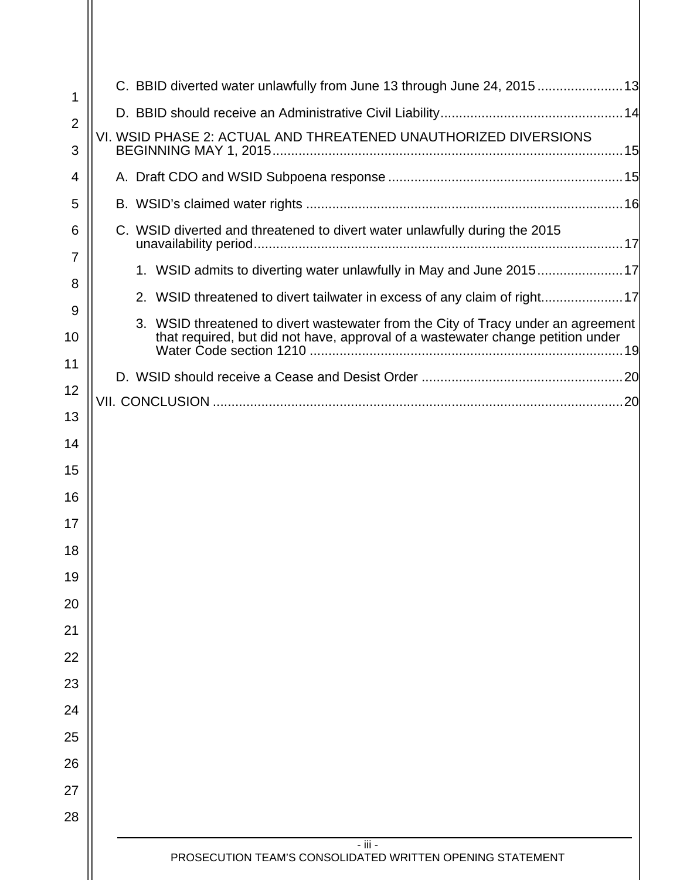| 1                   | C. BBID diverted water unlawfully from June 13 through June 24, 201513                                                                                               |
|---------------------|----------------------------------------------------------------------------------------------------------------------------------------------------------------------|
| $\overline{2}$      |                                                                                                                                                                      |
| 3                   | VI. WSID PHASE 2: ACTUAL AND THREATENED UNAUTHORIZED DIVERSIONS                                                                                                      |
| 4                   |                                                                                                                                                                      |
| 5                   |                                                                                                                                                                      |
| 6<br>$\overline{7}$ | C. WSID diverted and threatened to divert water unlawfully during the 2015                                                                                           |
| 8                   | 1. WSID admits to diverting water unlawfully in May and June 201517                                                                                                  |
| 9                   | 2. WSID threatened to divert tailwater in excess of any claim of right17                                                                                             |
| 10                  | 3. WSID threatened to divert wastewater from the City of Tracy under an agreement<br>that required, but did not have, approval of a wastewater change petition under |
| 11                  |                                                                                                                                                                      |
| 12                  |                                                                                                                                                                      |
| 13                  |                                                                                                                                                                      |
| 14                  |                                                                                                                                                                      |
| 15                  |                                                                                                                                                                      |
| 16                  |                                                                                                                                                                      |
| 17                  |                                                                                                                                                                      |
| 18                  |                                                                                                                                                                      |
| 19                  |                                                                                                                                                                      |
| 20                  |                                                                                                                                                                      |
| 21                  |                                                                                                                                                                      |
| 22                  |                                                                                                                                                                      |
| 23                  |                                                                                                                                                                      |
| 24                  |                                                                                                                                                                      |
| 25                  |                                                                                                                                                                      |
| 26                  |                                                                                                                                                                      |
| 27                  |                                                                                                                                                                      |
| 28                  |                                                                                                                                                                      |
|                     | - iii -<br>PROSECUTION TEAM'S CONSOLIDATED WRITTEN OPENING STATEMENT                                                                                                 |
|                     |                                                                                                                                                                      |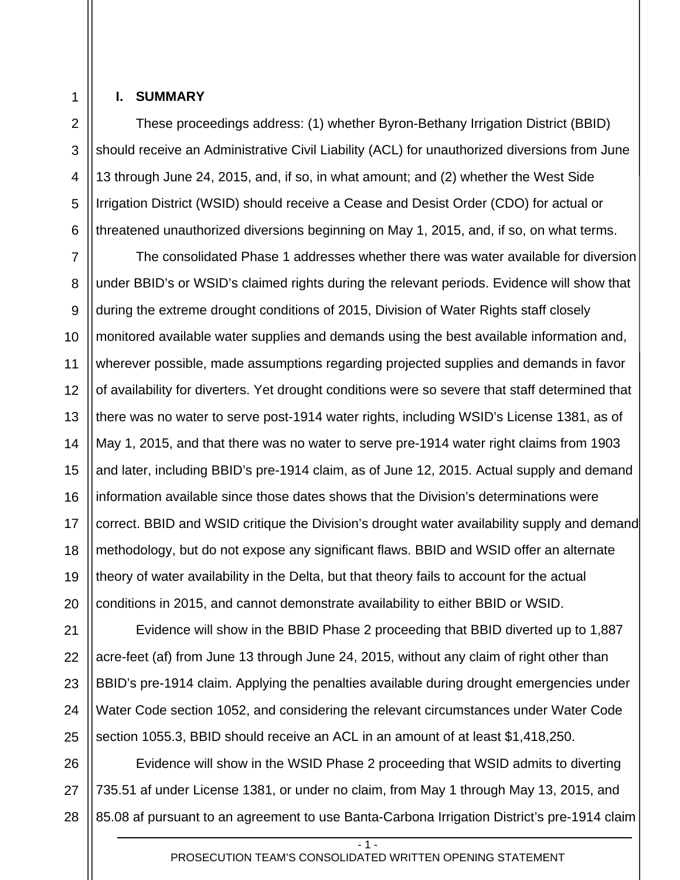3

4

5

6

#### **I. SUMMARY**

These proceedings address: (1) whether Byron-Bethany Irrigation District (BBID) should receive an Administrative Civil Liability (ACL) for unauthorized diversions from June 13 through June 24, 2015, and, if so, in what amount; and (2) whether the West Side Irrigation District (WSID) should receive a Cease and Desist Order (CDO) for actual or threatened unauthorized diversions beginning on May 1, 2015, and, if so, on what terms.

7 8 9 10 11 12 13 14 15 16 17 18 19 20 The consolidated Phase 1 addresses whether there was water available for diversion under BBID's or WSID's claimed rights during the relevant periods. Evidence will show that during the extreme drought conditions of 2015, Division of Water Rights staff closely monitored available water supplies and demands using the best available information and, wherever possible, made assumptions regarding projected supplies and demands in favor of availability for diverters. Yet drought conditions were so severe that staff determined that there was no water to serve post-1914 water rights, including WSID's License 1381, as of May 1, 2015, and that there was no water to serve pre-1914 water right claims from 1903 and later, including BBID's pre-1914 claim, as of June 12, 2015. Actual supply and demand information available since those dates shows that the Division's determinations were correct. BBID and WSID critique the Division's drought water availability supply and demand methodology, but do not expose any significant flaws. BBID and WSID offer an alternate theory of water availability in the Delta, but that theory fails to account for the actual conditions in 2015, and cannot demonstrate availability to either BBID or WSID.

21 22 23 24 25 Evidence will show in the BBID Phase 2 proceeding that BBID diverted up to 1,887 acre-feet (af) from June 13 through June 24, 2015, without any claim of right other than BBID's pre-1914 claim. Applying the penalties available during drought emergencies under Water Code section 1052, and considering the relevant circumstances under Water Code section 1055.3, BBID should receive an ACL in an amount of at least \$1,418,250.

26 27 Evidence will show in the WSID Phase 2 proceeding that WSID admits to diverting 735.51 af under License 1381, or under no claim, from May 1 through May 13, 2015, and 85.08 af pursuant to an agreement to use Banta-Carbona Irrigation District's pre-1914 claim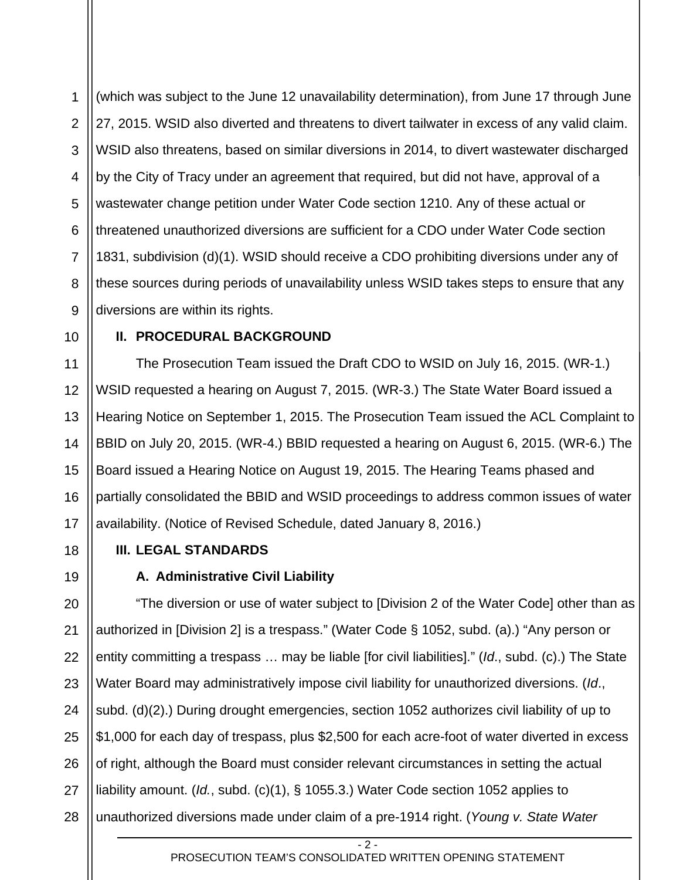1 2 3 4 5 6 7 8 9 (which was subject to the June 12 unavailability determination), from June 17 through June 27, 2015. WSID also diverted and threatens to divert tailwater in excess of any valid claim. WSID also threatens, based on similar diversions in 2014, to divert wastewater discharged by the City of Tracy under an agreement that required, but did not have, approval of a wastewater change petition under Water Code section 1210. Any of these actual or threatened unauthorized diversions are sufficient for a CDO under Water Code section 1831, subdivision (d)(1). WSID should receive a CDO prohibiting diversions under any of these sources during periods of unavailability unless WSID takes steps to ensure that any diversions are within its rights.

10

18

19

## **II. PROCEDURAL BACKGROUND**

11 12 13 14 15 16 17 The Prosecution Team issued the Draft CDO to WSID on July 16, 2015. (WR-1.) WSID requested a hearing on August 7, 2015. (WR-3.) The State Water Board issued a Hearing Notice on September 1, 2015. The Prosecution Team issued the ACL Complaint to BBID on July 20, 2015. (WR-4.) BBID requested a hearing on August 6, 2015. (WR-6.) The Board issued a Hearing Notice on August 19, 2015. The Hearing Teams phased and partially consolidated the BBID and WSID proceedings to address common issues of water availability. (Notice of Revised Schedule, dated January 8, 2016.)

**III. LEGAL STANDARDS** 

# **A. Administrative Civil Liability**

20 21 22 23 24 25 26 27 28 "The diversion or use of water subject to [Division 2 of the Water Code] other than as authorized in [Division 2] is a trespass." (Water Code § 1052, subd. (a).) "Any person or entity committing a trespass … may be liable [for civil liabilities]." (*Id*., subd. (c).) The State Water Board may administratively impose civil liability for unauthorized diversions. (*Id*., subd. (d)(2).) During drought emergencies, section 1052 authorizes civil liability of up to \$1,000 for each day of trespass, plus \$2,500 for each acre-foot of water diverted in excess of right, although the Board must consider relevant circumstances in setting the actual liability amount. (*Id.*, subd. (c)(1), § 1055.3.) Water Code section 1052 applies to unauthorized diversions made under claim of a pre-1914 right. (*Young v. State Water* 

- 2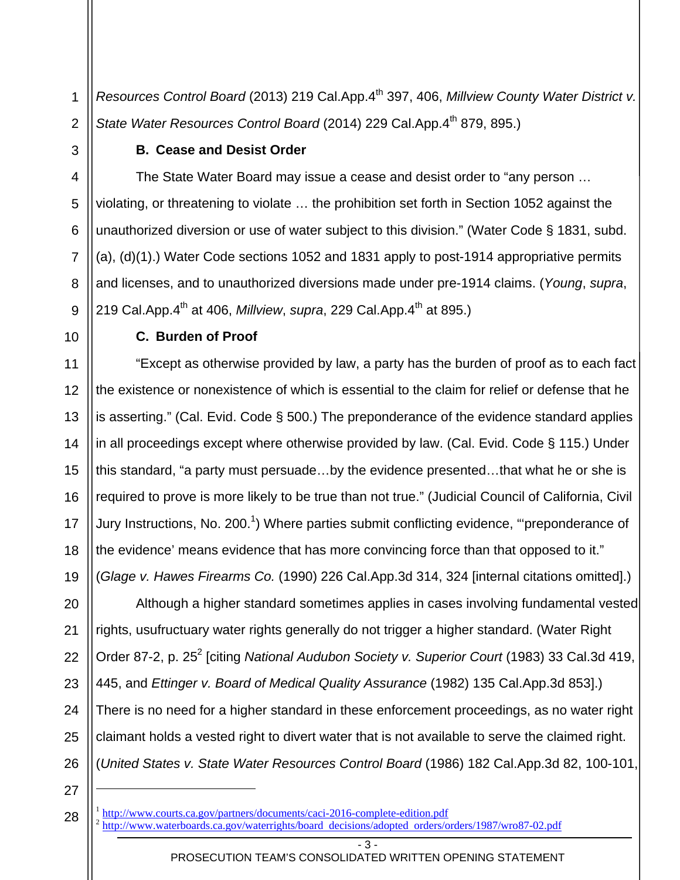1 2 *Resources Control Board* (2013) 219 Cal.App.4<sup>th</sup> 397, 406, *Millview County Water District v.* State Water Resources Control Board (2014) 229 Cal.App.4<sup>th</sup> 879, 895.)

#### **B. Cease and Desist Order**

4 5 6 7 8 The State Water Board may issue a cease and desist order to "any person … violating, or threatening to violate … the prohibition set forth in Section 1052 against the unauthorized diversion or use of water subject to this division." (Water Code § 1831, subd. (a), (d)(1).) Water Code sections 1052 and 1831 apply to post-1914 appropriative permits and licenses, and to unauthorized diversions made under pre-1914 claims. (*Young*, *supra*, 219 Cal.App.4<sup>th</sup> at 406, *Millview*, *supra*, 229 Cal.App.4<sup>th</sup> at 895.)

19

9

3

#### **C. Burden of Proof**

"Except as otherwise provided by law, a party has the burden of proof as to each fact the existence or nonexistence of which is essential to the claim for relief or defense that he is asserting." (Cal. Evid. Code § 500.) The preponderance of the evidence standard applies in all proceedings except where otherwise provided by law. (Cal. Evid. Code § 115.) Under this standard, "a party must persuade…by the evidence presented…that what he or she is required to prove is more likely to be true than not true." (Judicial Council of California, Civil Jury Instructions, No. 200.<sup>1</sup>) Where parties submit conflicting evidence, "'preponderance of the evidence' means evidence that has more convincing force than that opposed to it." (*Glage v. Hawes Firearms Co.* (1990) 226 Cal.App.3d 314, 324 [internal citations omitted].)

20 21 22 23 24 25 26 Although a higher standard sometimes applies in cases involving fundamental vested rights, usufructuary water rights generally do not trigger a higher standard. (Water Right Order 87-2, p. 25<sup>2</sup> [citing National Audubon Society v. Superior Court (1983) 33 Cal.3d 419, 445, and *Ettinger v. Board of Medical Quality Assurance* (1982) 135 Cal.App.3d 853].) There is no need for a higher standard in these enforcement proceedings, as no water right claimant holds a vested right to divert water that is not available to serve the claimed right. (*United States v. State Water Resources Control Board* (1986) 182 Cal.App.3d 82, 100-101,

27

l

<sup>1</sup> http://www.courts.ca.gov/partners/documents/caci-2016-complete-edition.pdf <sup>2</sup> http://www.waterboards.ca.gov/waterrights/board decisions/adopted orders/orders/1987/wro87-02.pdf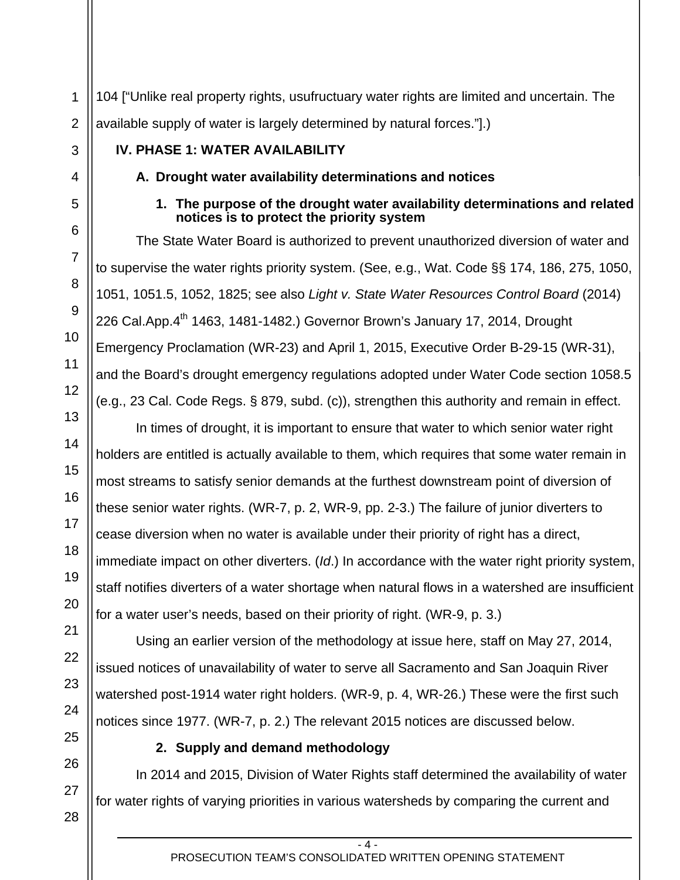1 2 104 ["Unlike real property rights, usufructuary water rights are limited and uncertain. The available supply of water is largely determined by natural forces."].)

# **IV. PHASE 1: WATER AVAILABILITY**

# **A. Drought water availability determinations and notices**

## **1. The purpose of the drought water availability determinations and related notices is to protect the priority system**

The State Water Board is authorized to prevent unauthorized diversion of water and to supervise the water rights priority system. (See, e.g., Wat. Code §§ 174, 186, 275, 1050, 1051, 1051.5, 1052, 1825; see also *Light v. State Water Resources Control Board* (2014) 226 Cal.App.4<sup>th</sup> 1463, 1481-1482.) Governor Brown's January 17, 2014, Drought Emergency Proclamation (WR-23) and April 1, 2015, Executive Order B-29-15 (WR-31), and the Board's drought emergency regulations adopted under Water Code section 1058.5 (e.g., 23 Cal. Code Regs. § 879, subd. (c)), strengthen this authority and remain in effect.

In times of drought, it is important to ensure that water to which senior water right holders are entitled is actually available to them, which requires that some water remain in most streams to satisfy senior demands at the furthest downstream point of diversion of these senior water rights. (WR-7, p. 2, WR-9, pp. 2-3.) The failure of junior diverters to cease diversion when no water is available under their priority of right has a direct, immediate impact on other diverters. (*Id*.) In accordance with the water right priority system, staff notifies diverters of a water shortage when natural flows in a watershed are insufficient for a water user's needs, based on their priority of right. (WR-9, p. 3.)

Using an earlier version of the methodology at issue here, staff on May 27, 2014, issued notices of unavailability of water to serve all Sacramento and San Joaquin River watershed post-1914 water right holders. (WR-9, p. 4, WR-26.) These were the first such notices since 1977. (WR-7, p. 2.) The relevant 2015 notices are discussed below.

# **2. Supply and demand methodology**

In 2014 and 2015, Division of Water Rights staff determined the availability of water for water rights of varying priorities in various watersheds by comparing the current and

3

4

5

6

7

8

9

10

11

12

13

14

15

16

17

18

19

20

21

22

23

24

25

26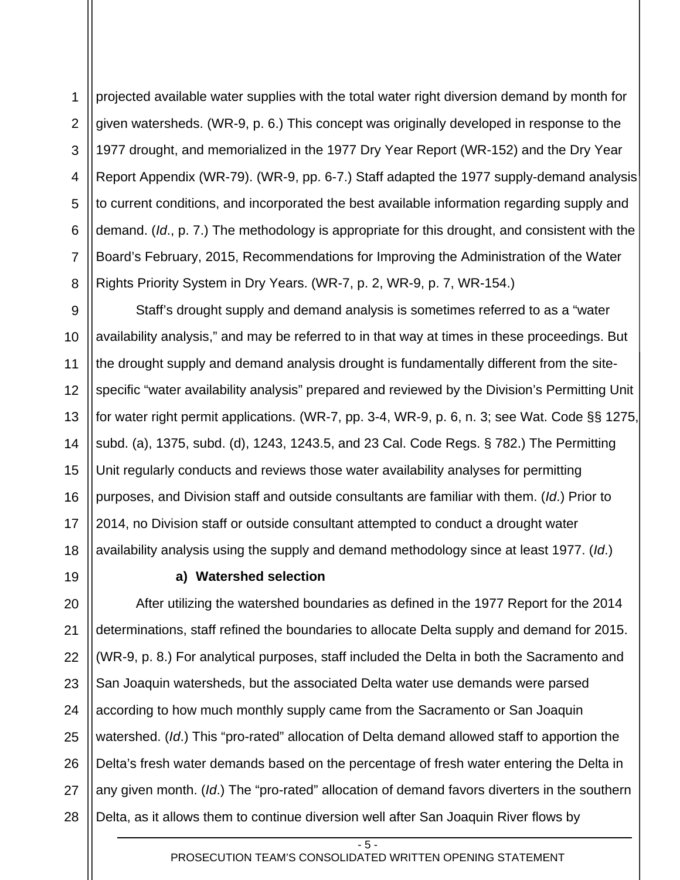1 2 3 4 5 6 7 8 projected available water supplies with the total water right diversion demand by month for given watersheds. (WR-9, p. 6.) This concept was originally developed in response to the 1977 drought, and memorialized in the 1977 Dry Year Report (WR-152) and the Dry Year Report Appendix (WR-79). (WR-9, pp. 6-7.) Staff adapted the 1977 supply-demand analysis to current conditions, and incorporated the best available information regarding supply and demand. (*Id*., p. 7.) The methodology is appropriate for this drought, and consistent with the Board's February, 2015, Recommendations for Improving the Administration of the Water Rights Priority System in Dry Years. (WR-7, p. 2, WR-9, p. 7, WR-154.)

9 10 11 12 13 14 15 16 17 18 Staff's drought supply and demand analysis is sometimes referred to as a "water availability analysis," and may be referred to in that way at times in these proceedings. But the drought supply and demand analysis drought is fundamentally different from the sitespecific "water availability analysis" prepared and reviewed by the Division's Permitting Unit for water right permit applications. (WR-7, pp. 3-4, WR-9, p. 6, n. 3; see Wat. Code §§ 1275, subd. (a), 1375, subd. (d), 1243, 1243.5, and 23 Cal. Code Regs. § 782.) The Permitting Unit regularly conducts and reviews those water availability analyses for permitting purposes, and Division staff and outside consultants are familiar with them. (*Id*.) Prior to 2014, no Division staff or outside consultant attempted to conduct a drought water availability analysis using the supply and demand methodology since at least 1977. (*Id*.)

19

## **a) Watershed selection**

20 21 22 23 24 25 26 27 28 After utilizing the watershed boundaries as defined in the 1977 Report for the 2014 determinations, staff refined the boundaries to allocate Delta supply and demand for 2015. (WR-9, p. 8.) For analytical purposes, staff included the Delta in both the Sacramento and San Joaquin watersheds, but the associated Delta water use demands were parsed according to how much monthly supply came from the Sacramento or San Joaquin watershed. (*Id*.) This "pro-rated" allocation of Delta demand allowed staff to apportion the Delta's fresh water demands based on the percentage of fresh water entering the Delta in any given month. (*Id*.) The "pro-rated" allocation of demand favors diverters in the southern Delta, as it allows them to continue diversion well after San Joaquin River flows by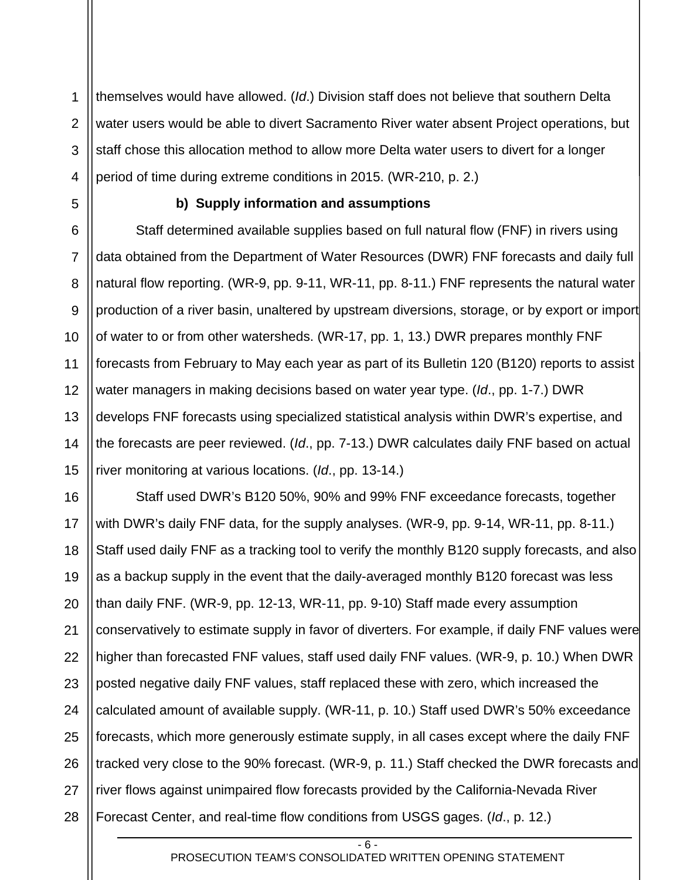1 2 3 4 themselves would have allowed. (*Id*.) Division staff does not believe that southern Delta water users would be able to divert Sacramento River water absent Project operations, but staff chose this allocation method to allow more Delta water users to divert for a longer period of time during extreme conditions in 2015. (WR-210, p. 2.)

5

#### **b) Supply information and assumptions**

6 7 8 9 10 11 12 13 14 15 Staff determined available supplies based on full natural flow (FNF) in rivers using data obtained from the Department of Water Resources (DWR) FNF forecasts and daily full natural flow reporting. (WR-9, pp. 9-11, WR-11, pp. 8-11.) FNF represents the natural water production of a river basin, unaltered by upstream diversions, storage, or by export or import of water to or from other watersheds. (WR-17, pp. 1, 13.) DWR prepares monthly FNF forecasts from February to May each year as part of its Bulletin 120 (B120) reports to assist water managers in making decisions based on water year type. (*Id*., pp. 1-7.) DWR develops FNF forecasts using specialized statistical analysis within DWR's expertise, and the forecasts are peer reviewed. (*Id*., pp. 7-13.) DWR calculates daily FNF based on actual river monitoring at various locations. (*Id*., pp. 13-14.)

16 17 18 19 20 21 22 23 24 25 26 27 28 Staff used DWR's B120 50%, 90% and 99% FNF exceedance forecasts, together with DWR's daily FNF data, for the supply analyses. (WR-9, pp. 9-14, WR-11, pp. 8-11.) Staff used daily FNF as a tracking tool to verify the monthly B120 supply forecasts, and also as a backup supply in the event that the daily-averaged monthly B120 forecast was less than daily FNF. (WR-9, pp. 12-13, WR-11, pp. 9-10) Staff made every assumption conservatively to estimate supply in favor of diverters. For example, if daily FNF values were higher than forecasted FNF values, staff used daily FNF values. (WR-9, p. 10.) When DWR posted negative daily FNF values, staff replaced these with zero, which increased the calculated amount of available supply. (WR-11, p. 10.) Staff used DWR's 50% exceedance forecasts, which more generously estimate supply, in all cases except where the daily FNF tracked very close to the 90% forecast. (WR-9, p. 11.) Staff checked the DWR forecasts and river flows against unimpaired flow forecasts provided by the California-Nevada River Forecast Center, and real-time flow conditions from USGS gages. (*Id*., p. 12.)

> - 6 - PROSECUTION TEAM'S CONSOLIDATED WRITTEN OPENING STATEMENT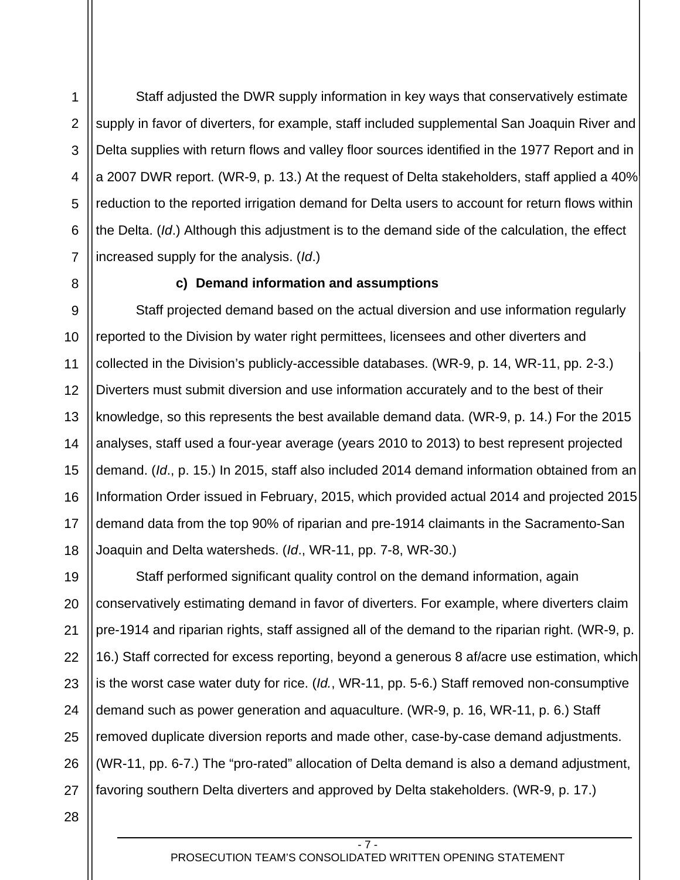1

2

3

Staff adjusted the DWR supply information in key ways that conservatively estimate supply in favor of diverters, for example, staff included supplemental San Joaquin River and Delta supplies with return flows and valley floor sources identified in the 1977 Report and in a 2007 DWR report. (WR-9, p. 13.) At the request of Delta stakeholders, staff applied a 40% reduction to the reported irrigation demand for Delta users to account for return flows within the Delta. (*Id*.) Although this adjustment is to the demand side of the calculation, the effect increased supply for the analysis. (*Id*.)

# **c) Demand information and assumptions**

12 13 14 15 16 17 18 Staff projected demand based on the actual diversion and use information regularly reported to the Division by water right permittees, licensees and other diverters and collected in the Division's publicly-accessible databases. (WR-9, p. 14, WR-11, pp. 2-3.) Diverters must submit diversion and use information accurately and to the best of their knowledge, so this represents the best available demand data. (WR-9, p. 14.) For the 2015 analyses, staff used a four-year average (years 2010 to 2013) to best represent projected demand. (*Id*., p. 15.) In 2015, staff also included 2014 demand information obtained from an Information Order issued in February, 2015, which provided actual 2014 and projected 2015 demand data from the top 90% of riparian and pre-1914 claimants in the Sacramento-San Joaquin and Delta watersheds. (*Id*., WR-11, pp. 7-8, WR-30.)

19 20 21 22 23 24 25 26 27 Staff performed significant quality control on the demand information, again conservatively estimating demand in favor of diverters. For example, where diverters claim pre-1914 and riparian rights, staff assigned all of the demand to the riparian right. (WR-9, p. 16.) Staff corrected for excess reporting, beyond a generous 8 af/acre use estimation, which is the worst case water duty for rice. (*Id.*, WR-11, pp. 5-6.) Staff removed non-consumptive demand such as power generation and aquaculture. (WR-9, p. 16, WR-11, p. 6.) Staff removed duplicate diversion reports and made other, case-by-case demand adjustments. (WR-11, pp. 6-7.) The "pro-rated" allocation of Delta demand is also a demand adjustment, favoring southern Delta diverters and approved by Delta stakeholders. (WR-9, p. 17.)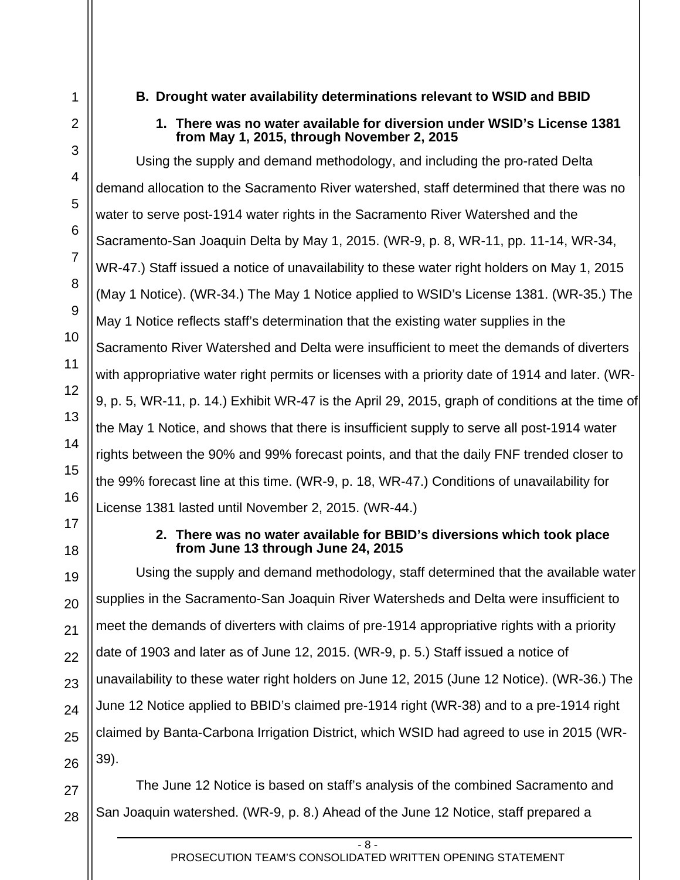# **B. Drought water availability determinations relevant to WSID and BBID**

## **1. There was no water available for diversion under WSID's License 1381 from May 1, 2015, through November 2, 2015**

Using the supply and demand methodology, and including the pro-rated Delta demand allocation to the Sacramento River watershed, staff determined that there was no water to serve post-1914 water rights in the Sacramento River Watershed and the Sacramento-San Joaquin Delta by May 1, 2015. (WR-9, p. 8, WR-11, pp. 11-14, WR-34, WR-47.) Staff issued a notice of unavailability to these water right holders on May 1, 2015 (May 1 Notice). (WR-34.) The May 1 Notice applied to WSID's License 1381. (WR-35.) The May 1 Notice reflects staff's determination that the existing water supplies in the Sacramento River Watershed and Delta were insufficient to meet the demands of diverters with appropriative water right permits or licenses with a priority date of 1914 and later. (WR-9, p. 5, WR-11, p. 14.) Exhibit WR-47 is the April 29, 2015, graph of conditions at the time of the May 1 Notice, and shows that there is insufficient supply to serve all post-1914 water rights between the 90% and 99% forecast points, and that the daily FNF trended closer to the 99% forecast line at this time. (WR-9, p. 18, WR-47.) Conditions of unavailability for License 1381 lasted until November 2, 2015. (WR-44.)

18

1

2

3

4

5

6

7

8

9

10

11

12

13

14

15

16

17

19

20

21

22

23

24

25

26

#### **2. There was no water available for BBID's diversions which took place from June 13 through June 24, 2015**

Using the supply and demand methodology, staff determined that the available water supplies in the Sacramento-San Joaquin River Watersheds and Delta were insufficient to meet the demands of diverters with claims of pre-1914 appropriative rights with a priority date of 1903 and later as of June 12, 2015. (WR-9, p. 5.) Staff issued a notice of unavailability to these water right holders on June 12, 2015 (June 12 Notice). (WR-36.) The June 12 Notice applied to BBID's claimed pre-1914 right (WR-38) and to a pre-1914 right claimed by Banta-Carbona Irrigation District, which WSID had agreed to use in 2015 (WR-39).

27 28 The June 12 Notice is based on staff's analysis of the combined Sacramento and San Joaquin watershed. (WR-9, p. 8.) Ahead of the June 12 Notice, staff prepared a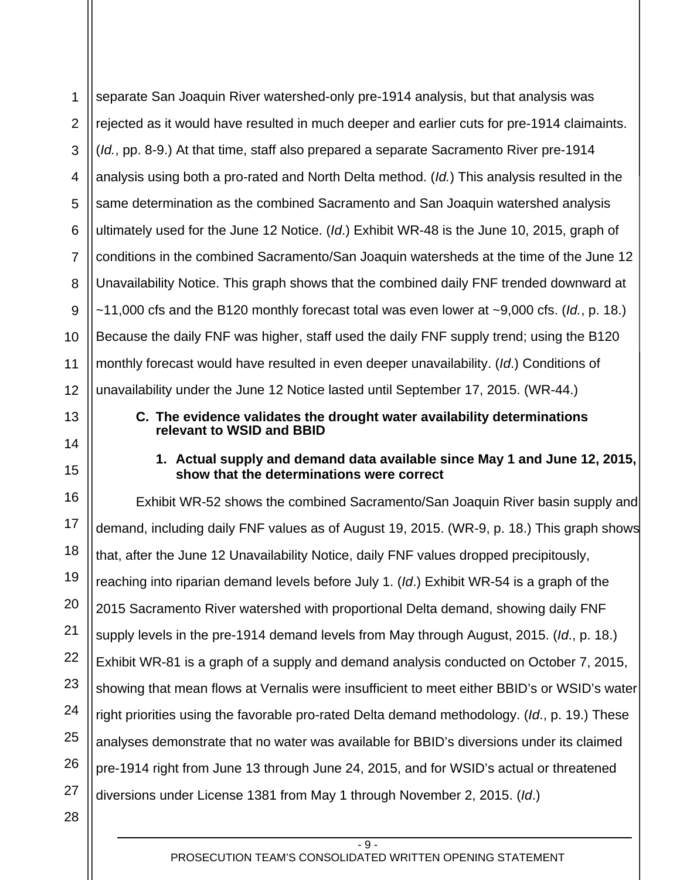1 2 3 4 5 6 7 8 9 10 11 12 separate San Joaquin River watershed-only pre-1914 analysis, but that analysis was rejected as it would have resulted in much deeper and earlier cuts for pre-1914 claimaints. (*Id.*, pp. 8-9.) At that time, staff also prepared a separate Sacramento River pre-1914 analysis using both a pro-rated and North Delta method. (*Id.*) This analysis resulted in the same determination as the combined Sacramento and San Joaquin watershed analysis ultimately used for the June 12 Notice. (*Id*.) Exhibit WR-48 is the June 10, 2015, graph of conditions in the combined Sacramento/San Joaquin watersheds at the time of the June 12 Unavailability Notice. This graph shows that the combined daily FNF trended downward at ~11,000 cfs and the B120 monthly forecast total was even lower at ~9,000 cfs. (*Id.*, p. 18.) Because the daily FNF was higher, staff used the daily FNF supply trend; using the B120 monthly forecast would have resulted in even deeper unavailability. (*Id*.) Conditions of unavailability under the June 12 Notice lasted until September 17, 2015. (WR-44.)

## **C. The evidence validates the drought water availability determinations relevant to WSID and BBID**

## **1. Actual supply and demand data available since May 1 and June 12, 2015, show that the determinations were correct**

16 17 18 19 20 21 22 23 24 25 26 27 Exhibit WR-52 shows the combined Sacramento/San Joaquin River basin supply and demand, including daily FNF values as of August 19, 2015. (WR-9, p. 18.) This graph shows that, after the June 12 Unavailability Notice, daily FNF values dropped precipitously, reaching into riparian demand levels before July 1. (*Id*.) Exhibit WR-54 is a graph of the 2015 Sacramento River watershed with proportional Delta demand, showing daily FNF supply levels in the pre-1914 demand levels from May through August, 2015. (*Id*., p. 18.) Exhibit WR-81 is a graph of a supply and demand analysis conducted on October 7, 2015, showing that mean flows at Vernalis were insufficient to meet either BBID's or WSID's water right priorities using the favorable pro-rated Delta demand methodology. (*Id*., p. 19.) These analyses demonstrate that no water was available for BBID's diversions under its claimed pre-1914 right from June 13 through June 24, 2015, and for WSID's actual or threatened diversions under License 1381 from May 1 through November 2, 2015. (*Id*.)

28

13

14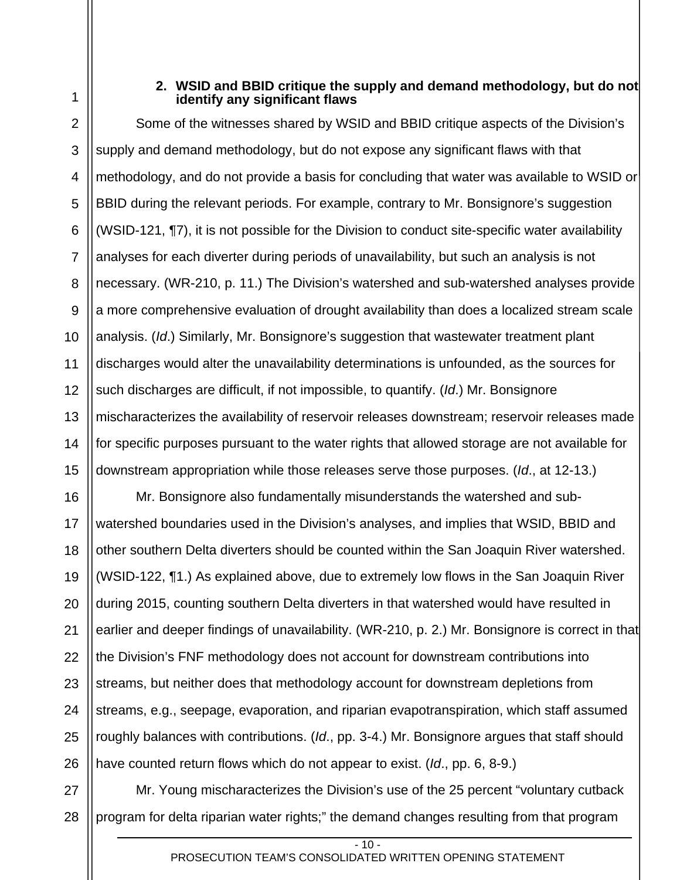1

## **2. WSID and BBID critique the supply and demand methodology, but do not identify any significant flaws**

4 5 6 7 8 9 10 11 12 13 14 15 Some of the witnesses shared by WSID and BBID critique aspects of the Division's supply and demand methodology, but do not expose any significant flaws with that methodology, and do not provide a basis for concluding that water was available to WSID or BBID during the relevant periods. For example, contrary to Mr. Bonsignore's suggestion (WSID-121, ¶7), it is not possible for the Division to conduct site-specific water availability analyses for each diverter during periods of unavailability, but such an analysis is not necessary. (WR-210, p. 11.) The Division's watershed and sub-watershed analyses provide a more comprehensive evaluation of drought availability than does a localized stream scale analysis. (*Id*.) Similarly, Mr. Bonsignore's suggestion that wastewater treatment plant discharges would alter the unavailability determinations is unfounded, as the sources for such discharges are difficult, if not impossible, to quantify. (*Id*.) Mr. Bonsignore mischaracterizes the availability of reservoir releases downstream; reservoir releases made for specific purposes pursuant to the water rights that allowed storage are not available for downstream appropriation while those releases serve those purposes. (*Id*., at 12-13.)

16 17 18 19 20 21 22 23 24 25 26 Mr. Bonsignore also fundamentally misunderstands the watershed and subwatershed boundaries used in the Division's analyses, and implies that WSID, BBID and other southern Delta diverters should be counted within the San Joaquin River watershed. (WSID-122, ¶1.) As explained above, due to extremely low flows in the San Joaquin River during 2015, counting southern Delta diverters in that watershed would have resulted in earlier and deeper findings of unavailability. (WR-210, p. 2.) Mr. Bonsignore is correct in that the Division's FNF methodology does not account for downstream contributions into streams, but neither does that methodology account for downstream depletions from streams, e.g., seepage, evaporation, and riparian evapotranspiration, which staff assumed roughly balances with contributions. (*Id*., pp. 3-4.) Mr. Bonsignore argues that staff should have counted return flows which do not appear to exist. (*Id*., pp. 6, 8-9.)

27 28 Mr. Young mischaracterizes the Division's use of the 25 percent "voluntary cutback program for delta riparian water rights;" the demand changes resulting from that program

 $-10.$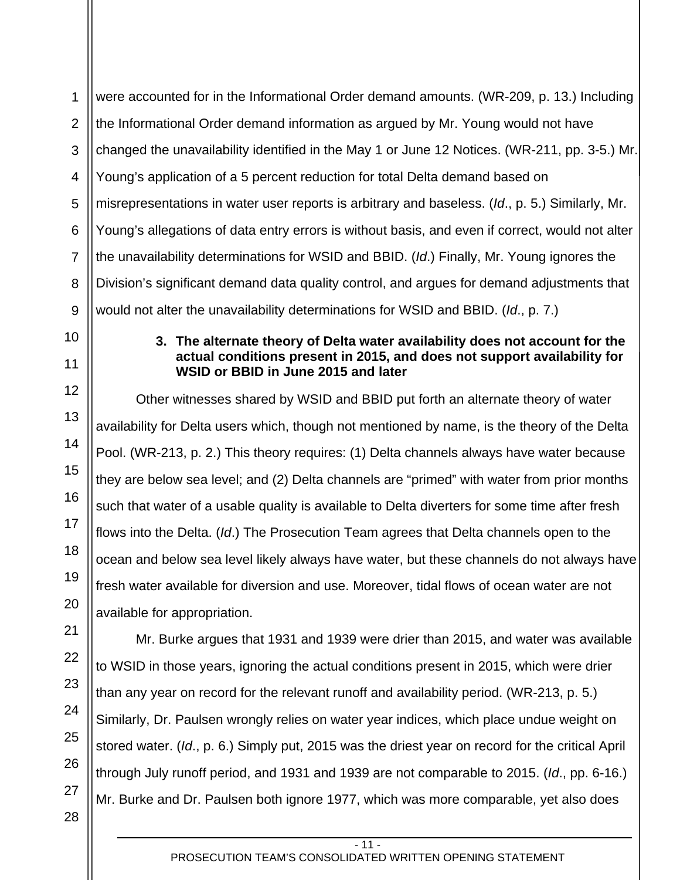2 3 4 5 6 7 8 9 10 11 12 13 14 15 16 17 18 19 20 21 22 23 24 25 26 27 28 were accounted for in the Informational Order demand amounts. (WR-209, p. 13.) Including the Informational Order demand information as argued by Mr. Young would not have changed the unavailability identified in the May 1 or June 12 Notices. (WR-211, pp. 3-5.) Mr. Young's application of a 5 percent reduction for total Delta demand based on misrepresentations in water user reports is arbitrary and baseless. (*Id*., p. 5.) Similarly, Mr. Young's allegations of data entry errors is without basis, and even if correct, would not alter the unavailability determinations for WSID and BBID. (*Id*.) Finally, Mr. Young ignores the Division's significant demand data quality control, and argues for demand adjustments that would not alter the unavailability determinations for WSID and BBID. (*Id*., p. 7.) **3. The alternate theory of Delta water availability does not account for the actual conditions present in 2015, and does not support availability for WSID or BBID in June 2015 and later**  Other witnesses shared by WSID and BBID put forth an alternate theory of water availability for Delta users which, though not mentioned by name, is the theory of the Delta Pool. (WR-213, p. 2.) This theory requires: (1) Delta channels always have water because they are below sea level; and (2) Delta channels are "primed" with water from prior months such that water of a usable quality is available to Delta diverters for some time after fresh flows into the Delta. (*Id*.) The Prosecution Team agrees that Delta channels open to the ocean and below sea level likely always have water, but these channels do not always have fresh water available for diversion and use. Moreover, tidal flows of ocean water are not available for appropriation. Mr. Burke argues that 1931 and 1939 were drier than 2015, and water was available to WSID in those years, ignoring the actual conditions present in 2015, which were drier than any year on record for the relevant runoff and availability period. (WR-213, p. 5.) Similarly, Dr. Paulsen wrongly relies on water year indices, which place undue weight on stored water. (*Id*., p. 6.) Simply put, 2015 was the driest year on record for the critical April through July runoff period, and 1931 and 1939 are not comparable to 2015. (*Id*., pp. 6-16.) Mr. Burke and Dr. Paulsen both ignore 1977, which was more comparable, yet also does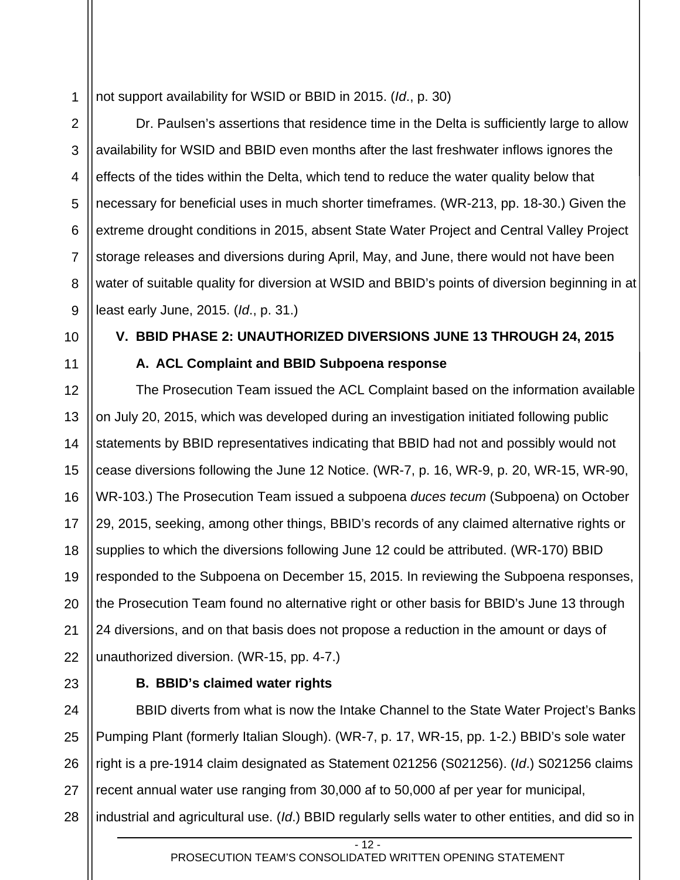1 not support availability for WSID or BBID in 2015. (*Id*., p. 30)

Dr. Paulsen's assertions that residence time in the Delta is sufficiently large to allow availability for WSID and BBID even months after the last freshwater inflows ignores the effects of the tides within the Delta, which tend to reduce the water quality below that necessary for beneficial uses in much shorter timeframes. (WR-213, pp. 18-30.) Given the extreme drought conditions in 2015, absent State Water Project and Central Valley Project storage releases and diversions during April, May, and June, there would not have been water of suitable quality for diversion at WSID and BBID's points of diversion beginning in at least early June, 2015. (*Id*., p. 31.)

**V. BBID PHASE 2: UNAUTHORIZED DIVERSIONS JUNE 13 THROUGH 24, 2015** 

10

2

3

4

5

6

7

8

9

11

12

15

16

17

**A. ACL Complaint and BBID Subpoena response** 

13 14 18 19 20 22 The Prosecution Team issued the ACL Complaint based on the information available on July 20, 2015, which was developed during an investigation initiated following public statements by BBID representatives indicating that BBID had not and possibly would not cease diversions following the June 12 Notice. (WR-7, p. 16, WR-9, p. 20, WR-15, WR-90, WR-103.) The Prosecution Team issued a subpoena *duces tecum* (Subpoena) on October 29, 2015, seeking, among other things, BBID's records of any claimed alternative rights or supplies to which the diversions following June 12 could be attributed. (WR-170) BBID responded to the Subpoena on December 15, 2015. In reviewing the Subpoena responses, the Prosecution Team found no alternative right or other basis for BBID's June 13 through 24 diversions, and on that basis does not propose a reduction in the amount or days of unauthorized diversion. (WR-15, pp. 4-7.)

23 24

21

## **B. BBID's claimed water rights**

25 26 27 28 BBID diverts from what is now the Intake Channel to the State Water Project's Banks Pumping Plant (formerly Italian Slough). (WR-7, p. 17, WR-15, pp. 1-2.) BBID's sole water right is a pre-1914 claim designated as Statement 021256 (S021256). (*Id*.) S021256 claims recent annual water use ranging from 30,000 af to 50,000 af per year for municipal, industrial and agricultural use. (*Id*.) BBID regularly sells water to other entities, and did so in

 $-12.$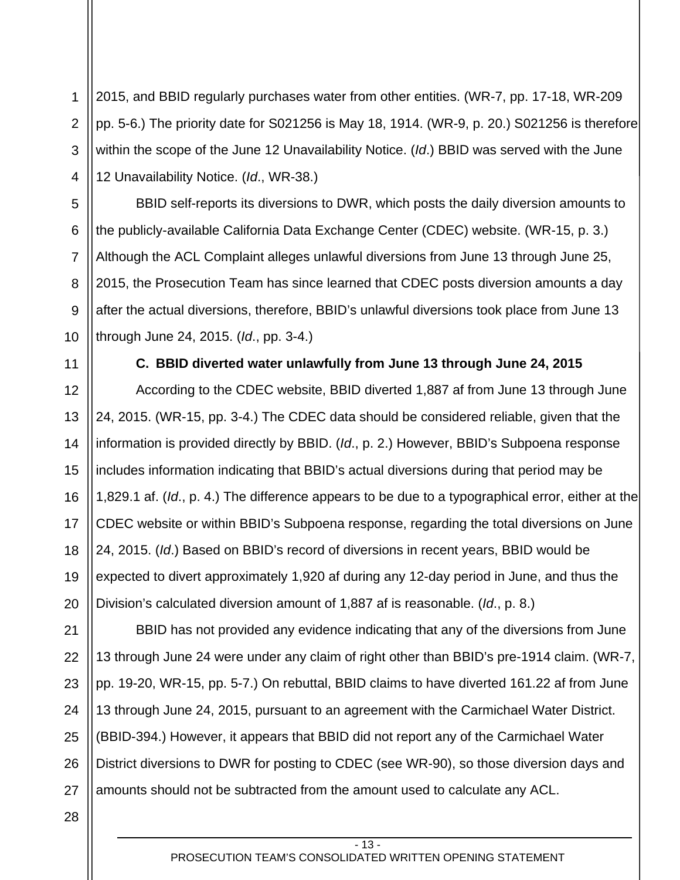1 2 3 4 2015, and BBID regularly purchases water from other entities. (WR-7, pp. 17-18, WR-209 pp. 5-6.) The priority date for S021256 is May 18, 1914. (WR-9, p. 20.) S021256 is therefore within the scope of the June 12 Unavailability Notice. (*Id*.) BBID was served with the June 12 Unavailability Notice. (*Id*., WR-38.)

BBID self-reports its diversions to DWR, which posts the daily diversion amounts to the publicly-available California Data Exchange Center (CDEC) website. (WR-15, p. 3.) Although the ACL Complaint alleges unlawful diversions from June 13 through June 25, 2015, the Prosecution Team has since learned that CDEC posts diversion amounts a day after the actual diversions, therefore, BBID's unlawful diversions took place from June 13 through June 24, 2015. (*Id*., pp. 3-4.)

5

6

7

8

9

10

11

12

13

14

15

16

17

18

19

20

21

#### **C. BBID diverted water unlawfully from June 13 through June 24, 2015**

According to the CDEC website, BBID diverted 1,887 af from June 13 through June 24, 2015. (WR-15, pp. 3-4.) The CDEC data should be considered reliable, given that the information is provided directly by BBID. (*Id*., p. 2.) However, BBID's Subpoena response includes information indicating that BBID's actual diversions during that period may be 1,829.1 af. (*Id*., p. 4.) The difference appears to be due to a typographical error, either at the CDEC website or within BBID's Subpoena response, regarding the total diversions on June 24, 2015. (*Id*.) Based on BBID's record of diversions in recent years, BBID would be expected to divert approximately 1,920 af during any 12-day period in June, and thus the Division's calculated diversion amount of 1,887 af is reasonable. (*Id*., p. 8.)

22 23 24 25 26 27 BBID has not provided any evidence indicating that any of the diversions from June 13 through June 24 were under any claim of right other than BBID's pre-1914 claim. (WR-7, pp. 19-20, WR-15, pp. 5-7.) On rebuttal, BBID claims to have diverted 161.22 af from June 13 through June 24, 2015, pursuant to an agreement with the Carmichael Water District. (BBID-394.) However, it appears that BBID did not report any of the Carmichael Water District diversions to DWR for posting to CDEC (see WR-90), so those diversion days and amounts should not be subtracted from the amount used to calculate any ACL.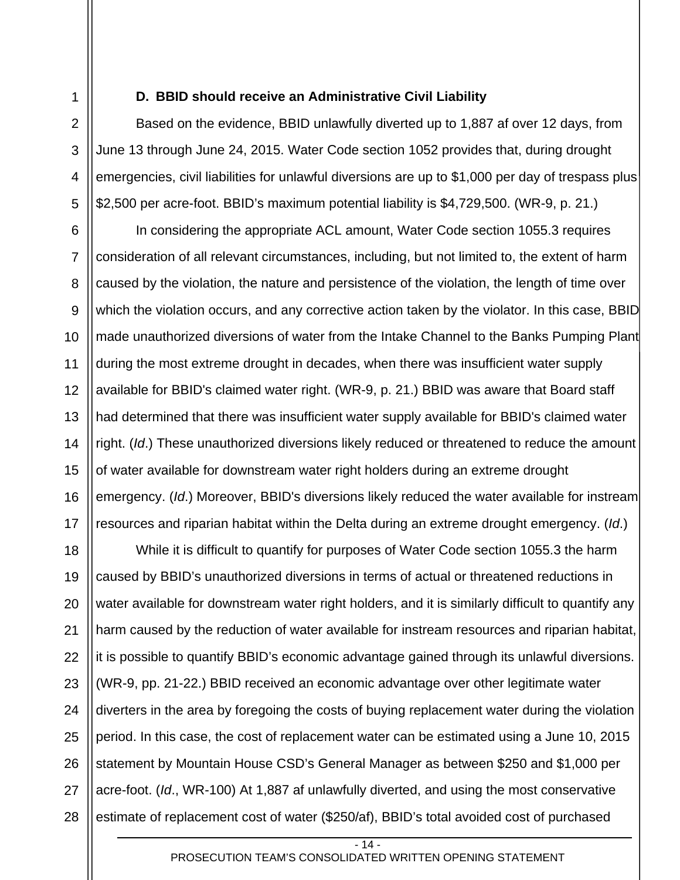2

3

4

5

#### **D. BBID should receive an Administrative Civil Liability**

Based on the evidence, BBID unlawfully diverted up to 1,887 af over 12 days, from June 13 through June 24, 2015. Water Code section 1052 provides that, during drought emergencies, civil liabilities for unlawful diversions are up to \$1,000 per day of trespass plus \$2,500 per acre-foot. BBID's maximum potential liability is \$4,729,500. (WR-9, p. 21.)

6 7 8 9 10 11 12 13 14 15 16 17 In considering the appropriate ACL amount, Water Code section 1055.3 requires consideration of all relevant circumstances, including, but not limited to, the extent of harm caused by the violation, the nature and persistence of the violation, the length of time over which the violation occurs, and any corrective action taken by the violator. In this case, BBID made unauthorized diversions of water from the Intake Channel to the Banks Pumping Plant during the most extreme drought in decades, when there was insufficient water supply available for BBID's claimed water right. (WR-9, p. 21.) BBID was aware that Board staff had determined that there was insufficient water supply available for BBID's claimed water right. (*Id*.) These unauthorized diversions likely reduced or threatened to reduce the amount of water available for downstream water right holders during an extreme drought emergency. (*Id*.) Moreover, BBID's diversions likely reduced the water available for instream resources and riparian habitat within the Delta during an extreme drought emergency. (*Id*.)

18 19 20 21 22 23 24 25 26 27 28 While it is difficult to quantify for purposes of Water Code section 1055.3 the harm caused by BBID's unauthorized diversions in terms of actual or threatened reductions in water available for downstream water right holders, and it is similarly difficult to quantify any harm caused by the reduction of water available for instream resources and riparian habitat, it is possible to quantify BBID's economic advantage gained through its unlawful diversions. (WR-9, pp. 21-22.) BBID received an economic advantage over other legitimate water diverters in the area by foregoing the costs of buying replacement water during the violation period. In this case, the cost of replacement water can be estimated using a June 10, 2015 statement by Mountain House CSD's General Manager as between \$250 and \$1,000 per acre-foot. (*Id*., WR-100) At 1,887 af unlawfully diverted, and using the most conservative estimate of replacement cost of water (\$250/af), BBID's total avoided cost of purchased

 $-14.$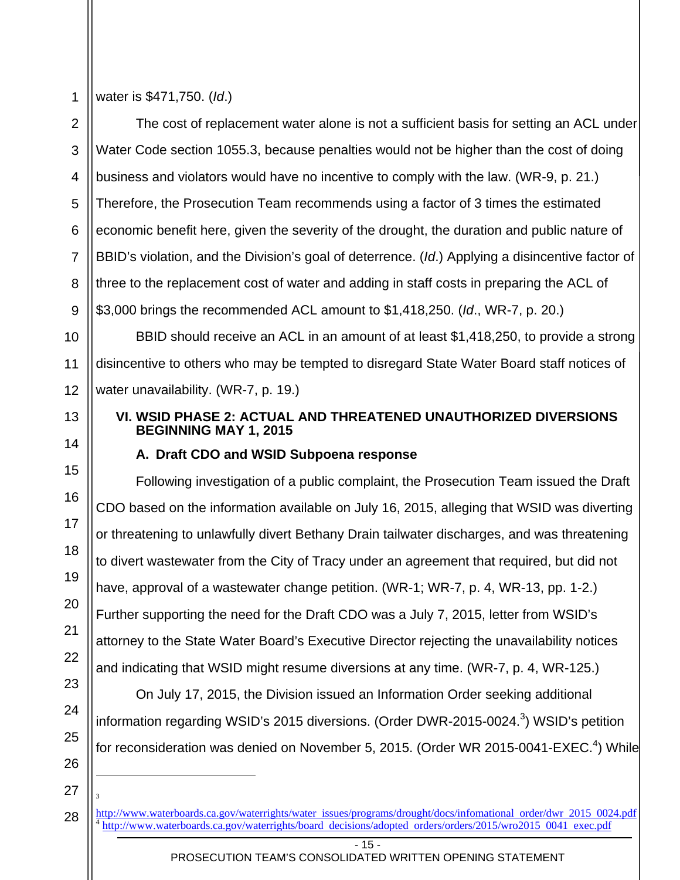13

14

15

16

17

18

19

20

21

22

23

24

25

26

water is \$471,750. (*Id*.)

2 3 4 5 6 7 8 9 The cost of replacement water alone is not a sufficient basis for setting an ACL under Water Code section 1055.3, because penalties would not be higher than the cost of doing business and violators would have no incentive to comply with the law. (WR-9, p. 21.) Therefore, the Prosecution Team recommends using a factor of 3 times the estimated economic benefit here, given the severity of the drought, the duration and public nature of BBID's violation, and the Division's goal of deterrence. (*Id*.) Applying a disincentive factor of three to the replacement cost of water and adding in staff costs in preparing the ACL of \$3,000 brings the recommended ACL amount to \$1,418,250. (*Id*., WR-7, p. 20.)

10 11 12 BBID should receive an ACL in an amount of at least \$1,418,250, to provide a strong disincentive to others who may be tempted to disregard State Water Board staff notices of water unavailability. (WR-7, p. 19.)

# **VI. WSID PHASE 2: ACTUAL AND THREATENED UNAUTHORIZED DIVERSIONS BEGINNING MAY 1, 2015**

# **A. Draft CDO and WSID Subpoena response**

Following investigation of a public complaint, the Prosecution Team issued the Draft CDO based on the information available on July 16, 2015, alleging that WSID was diverting or threatening to unlawfully divert Bethany Drain tailwater discharges, and was threatening to divert wastewater from the City of Tracy under an agreement that required, but did not have, approval of a wastewater change petition. (WR-1; WR-7, p. 4, WR-13, pp. 1-2.) Further supporting the need for the Draft CDO was a July 7, 2015, letter from WSID's attorney to the State Water Board's Executive Director rejecting the unavailability notices and indicating that WSID might resume diversions at any time. (WR-7, p. 4, WR-125.)

On July 17, 2015, the Division issued an Information Order seeking additional information regarding WSID's 2015 diversions. (Order DWR-2015-0024. $3$ ) WSID's petition for reconsideration was denied on November 5, 2015. (Order WR 2015-0041-EXEC.<sup>4</sup>) While

27 28 l 3

- 15 -

http://www.waterboards.ca.gov/waterrights/water issues/programs/drought/docs/infomational order/dwr 2015 0024.pdf <sup>4</sup> http://www.waterboards.ca.gov/waterrights/board decisions/adopted orders/orders/2015/wro2015 0041 exec.pdf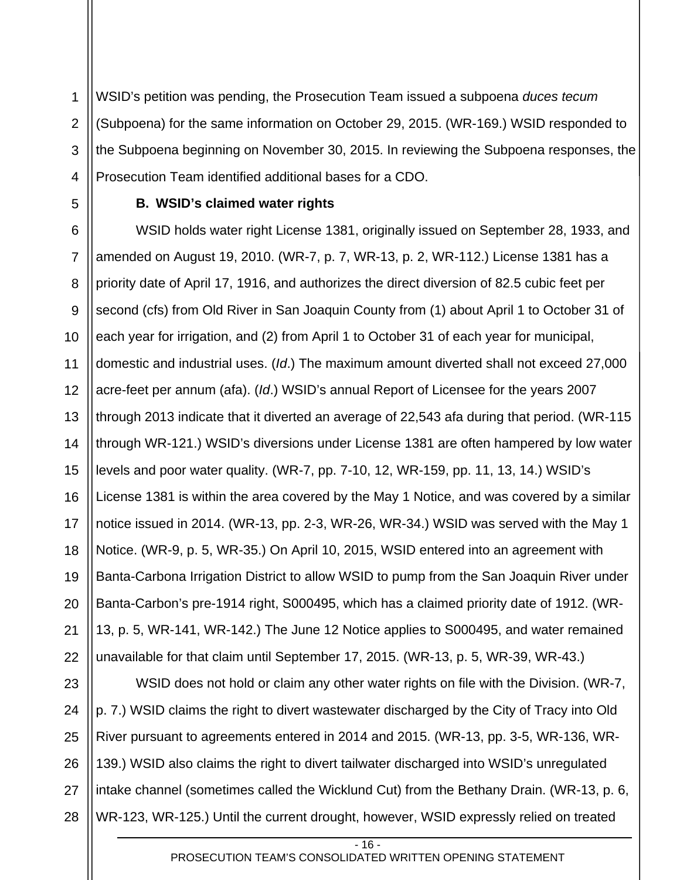1 2 3 4 WSID's petition was pending, the Prosecution Team issued a subpoena *duces tecum* (Subpoena) for the same information on October 29, 2015. (WR-169.) WSID responded to the Subpoena beginning on November 30, 2015. In reviewing the Subpoena responses, the Prosecution Team identified additional bases for a CDO.

5

## **B. WSID's claimed water rights**

6 7 8 9 10 11 12 13 14 15 16 17 18 19 20 21 22 WSID holds water right License 1381, originally issued on September 28, 1933, and amended on August 19, 2010. (WR-7, p. 7, WR-13, p. 2, WR-112.) License 1381 has a priority date of April 17, 1916, and authorizes the direct diversion of 82.5 cubic feet per second (cfs) from Old River in San Joaquin County from (1) about April 1 to October 31 of each year for irrigation, and (2) from April 1 to October 31 of each year for municipal, domestic and industrial uses. (*Id*.) The maximum amount diverted shall not exceed 27,000 acre-feet per annum (afa). (*Id*.) WSID's annual Report of Licensee for the years 2007 through 2013 indicate that it diverted an average of 22,543 afa during that period. (WR-115 through WR-121.) WSID's diversions under License 1381 are often hampered by low water levels and poor water quality. (WR-7, pp. 7-10, 12, WR-159, pp. 11, 13, 14.) WSID's License 1381 is within the area covered by the May 1 Notice, and was covered by a similar notice issued in 2014. (WR-13, pp. 2-3, WR-26, WR-34.) WSID was served with the May 1 Notice. (WR-9, p. 5, WR-35.) On April 10, 2015, WSID entered into an agreement with Banta-Carbona Irrigation District to allow WSID to pump from the San Joaquin River under Banta-Carbon's pre-1914 right, S000495, which has a claimed priority date of 1912. (WR-13, p. 5, WR-141, WR-142.) The June 12 Notice applies to S000495, and water remained unavailable for that claim until September 17, 2015. (WR-13, p. 5, WR-39, WR-43.)

23 24 25 26 27 28 WSID does not hold or claim any other water rights on file with the Division. (WR-7, p. 7.) WSID claims the right to divert wastewater discharged by the City of Tracy into Old River pursuant to agreements entered in 2014 and 2015. (WR-13, pp. 3-5, WR-136, WR-139.) WSID also claims the right to divert tailwater discharged into WSID's unregulated intake channel (sometimes called the Wicklund Cut) from the Bethany Drain. (WR-13, p. 6, WR-123, WR-125.) Until the current drought, however, WSID expressly relied on treated

- 16 -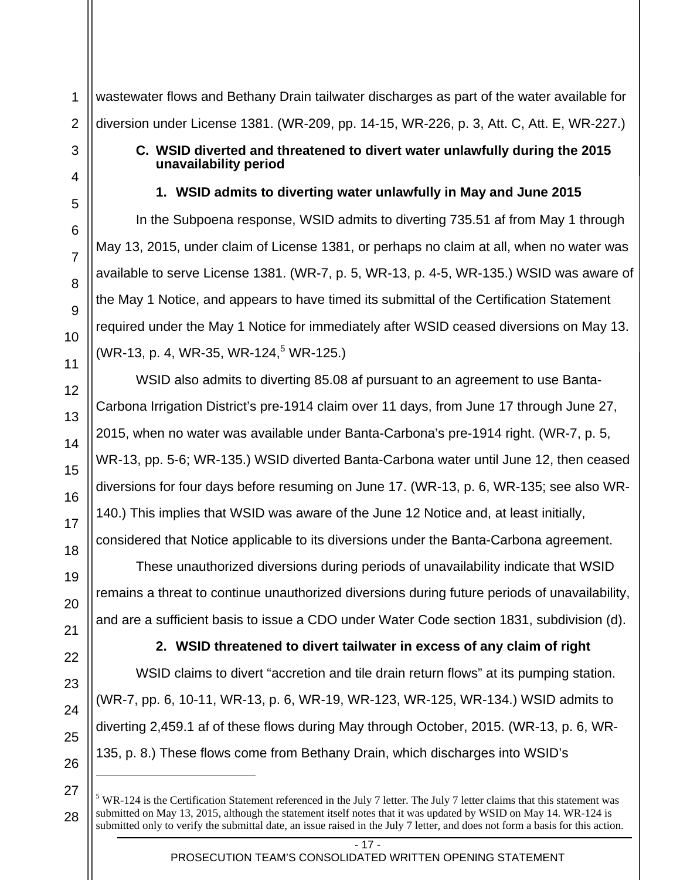14

15

16

17

18

19

20

21

22

23

24

25

26

l

27

28

1

wastewater flows and Bethany Drain tailwater discharges as part of the water available for diversion under License 1381. (WR-209, pp. 14-15, WR-226, p. 3, Att. C, Att. E, WR-227.)

## **C. WSID diverted and threatened to divert water unlawfully during the 2015 unavailability period**

# **1. WSID admits to diverting water unlawfully in May and June 2015**

In the Subpoena response, WSID admits to diverting 735.51 af from May 1 through May 13, 2015, under claim of License 1381, or perhaps no claim at all, when no water was available to serve License 1381. (WR-7, p. 5, WR-13, p. 4-5, WR-135.) WSID was aware of the May 1 Notice, and appears to have timed its submittal of the Certification Statement required under the May 1 Notice for immediately after WSID ceased diversions on May 13.  $(WR-13, p. 4, WR-35, WR-124, 5 WR-125.)$ 

WSID also admits to diverting 85.08 af pursuant to an agreement to use Banta-Carbona Irrigation District's pre-1914 claim over 11 days, from June 17 through June 27, 2015, when no water was available under Banta-Carbona's pre-1914 right. (WR-7, p. 5, WR-13, pp. 5-6; WR-135.) WSID diverted Banta-Carbona water until June 12, then ceased diversions for four days before resuming on June 17. (WR-13, p. 6, WR-135; see also WR-140.) This implies that WSID was aware of the June 12 Notice and, at least initially, considered that Notice applicable to its diversions under the Banta-Carbona agreement.

These unauthorized diversions during periods of unavailability indicate that WSID remains a threat to continue unauthorized diversions during future periods of unavailability, and are a sufficient basis to issue a CDO under Water Code section 1831, subdivision (d).

**2. WSID threatened to divert tailwater in excess of any claim of right**  WSID claims to divert "accretion and tile drain return flows" at its pumping station. (WR-7, pp. 6, 10-11, WR-13, p. 6, WR-19, WR-123, WR-125, WR-134.) WSID admits to diverting 2,459.1 af of these flows during May through October, 2015. (WR-13, p. 6, WR-135, p. 8.) These flows come from Bethany Drain, which discharges into WSID's

 $5$  WR-124 is the Certification Statement referenced in the July 7 letter. The July 7 letter claims that this statement was submitted on May 13, 2015, although the statement itself notes that it was updated by WSID on May 14. WR-124 is submitted only to verify the submittal date, an issue raised in the July 7 letter, and does not form a basis for this action.

<sup>- 17 -</sup>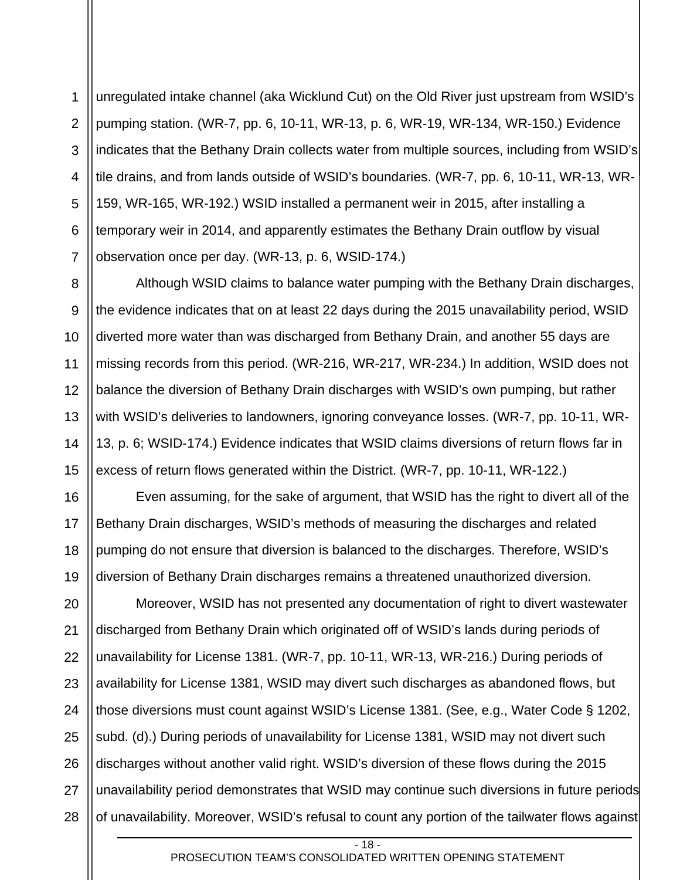1 2 3 4 5 6 7 unregulated intake channel (aka Wicklund Cut) on the Old River just upstream from WSID's pumping station. (WR-7, pp. 6, 10-11, WR-13, p. 6, WR-19, WR-134, WR-150.) Evidence indicates that the Bethany Drain collects water from multiple sources, including from WSID's tile drains, and from lands outside of WSID's boundaries. (WR-7, pp. 6, 10-11, WR-13, WR-159, WR-165, WR-192.) WSID installed a permanent weir in 2015, after installing a temporary weir in 2014, and apparently estimates the Bethany Drain outflow by visual observation once per day. (WR-13, p. 6, WSID-174.)

Although WSID claims to balance water pumping with the Bethany Drain discharges, the evidence indicates that on at least 22 days during the 2015 unavailability period, WSID diverted more water than was discharged from Bethany Drain, and another 55 days are missing records from this period. (WR-216, WR-217, WR-234.) In addition, WSID does not balance the diversion of Bethany Drain discharges with WSID's own pumping, but rather with WSID's deliveries to landowners, ignoring conveyance losses. (WR-7, pp. 10-11, WR-13, p. 6; WSID-174.) Evidence indicates that WSID claims diversions of return flows far in excess of return flows generated within the District. (WR-7, pp. 10-11, WR-122.)

Even assuming, for the sake of argument, that WSID has the right to divert all of the Bethany Drain discharges, WSID's methods of measuring the discharges and related pumping do not ensure that diversion is balanced to the discharges. Therefore, WSID's diversion of Bethany Drain discharges remains a threatened unauthorized diversion.

Moreover, WSID has not presented any documentation of right to divert wastewater discharged from Bethany Drain which originated off of WSID's lands during periods of unavailability for License 1381. (WR-7, pp. 10-11, WR-13, WR-216.) During periods of availability for License 1381, WSID may divert such discharges as abandoned flows, but those diversions must count against WSID's License 1381. (See, e.g., Water Code § 1202, subd. (d).) During periods of unavailability for License 1381, WSID may not divert such discharges without another valid right. WSID's diversion of these flows during the 2015 unavailability period demonstrates that WSID may continue such diversions in future periods of unavailability. Moreover, WSID's refusal to count any portion of the tailwater flows against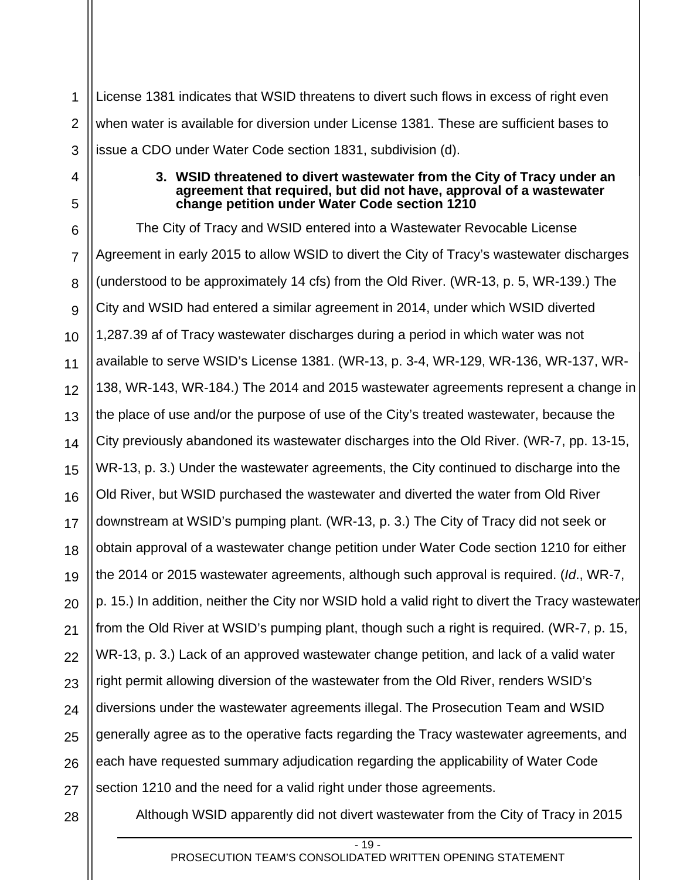1 2 3 License 1381 indicates that WSID threatens to divert such flows in excess of right even when water is available for diversion under License 1381. These are sufficient bases to issue a CDO under Water Code section 1831, subdivision (d).

#### **3. WSID threatened to divert wastewater from the City of Tracy under an agreement that required, but did not have, approval of a wastewater change petition under Water Code section 1210**

6 7 8 9 10 11 12 13 14 15 16 17 18 19 20 21 22 23 24 25 26 27 The City of Tracy and WSID entered into a Wastewater Revocable License Agreement in early 2015 to allow WSID to divert the City of Tracy's wastewater discharges (understood to be approximately 14 cfs) from the Old River. (WR-13, p. 5, WR-139.) The City and WSID had entered a similar agreement in 2014, under which WSID diverted 1,287.39 af of Tracy wastewater discharges during a period in which water was not available to serve WSID's License 1381. (WR-13, p. 3-4, WR-129, WR-136, WR-137, WR-138, WR-143, WR-184.) The 2014 and 2015 wastewater agreements represent a change in the place of use and/or the purpose of use of the City's treated wastewater, because the City previously abandoned its wastewater discharges into the Old River. (WR-7, pp. 13-15, WR-13, p. 3.) Under the wastewater agreements, the City continued to discharge into the Old River, but WSID purchased the wastewater and diverted the water from Old River downstream at WSID's pumping plant. (WR-13, p. 3.) The City of Tracy did not seek or obtain approval of a wastewater change petition under Water Code section 1210 for either the 2014 or 2015 wastewater agreements, although such approval is required. (*Id*., WR-7, p. 15.) In addition, neither the City nor WSID hold a valid right to divert the Tracy wastewater from the Old River at WSID's pumping plant, though such a right is required. (WR-7, p. 15, WR-13, p. 3.) Lack of an approved wastewater change petition, and lack of a valid water right permit allowing diversion of the wastewater from the Old River, renders WSID's diversions under the wastewater agreements illegal. The Prosecution Team and WSID generally agree as to the operative facts regarding the Tracy wastewater agreements, and each have requested summary adjudication regarding the applicability of Water Code section 1210 and the need for a valid right under those agreements.

28

4

5

Although WSID apparently did not divert wastewater from the City of Tracy in 2015

 $-19 -$